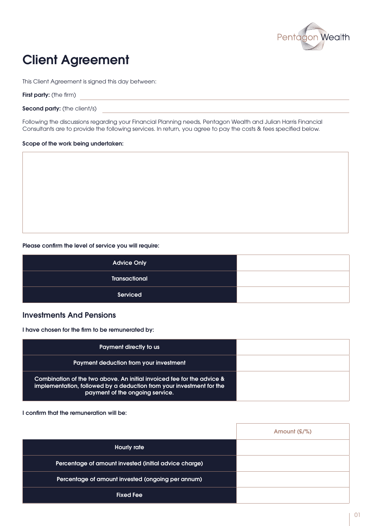

# Client Agreement

This Client Agreement is signed this day between:

First party: (the firm)

Second party: (the client/s)

Following the discussions regarding your Financial Planning needs, Pentagon Wealth and Julian Harris Financial Consultants are to provide the following services. In return, you agree to pay the costs & fees specified below.

#### Scope of the work being undertaken:

#### Please confirm the level of service you will require:

| <b>Advice Only</b>   |  |
|----------------------|--|
| <b>Transactional</b> |  |
| Serviced             |  |

### Investments And Pensions

I have chosen for the firm to be remunerated by:

| Payment directly to us                                                                                                                                                            |  |
|-----------------------------------------------------------------------------------------------------------------------------------------------------------------------------------|--|
| Payment deduction from your investment                                                                                                                                            |  |
| Combination of the two above. An initial invoiced fee for the advice &<br>implementation, followed by a deduction from your investment for the<br>payment of the ongoing service. |  |

I confirm that the remuneration will be:

|                                                       | Amount $(E/\%)$ |
|-------------------------------------------------------|-----------------|
| <b>Hourly rate</b>                                    |                 |
| Percentage of amount invested (initial advice charge) |                 |
| Percentage of amount invested (ongoing per annum)     |                 |
| <b>Fixed Fee</b>                                      |                 |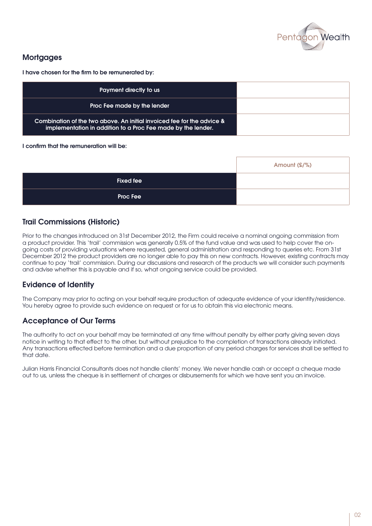

# **Mortgages**

I have chosen for the firm to be remunerated by:

| Payment directly to us                                                                                                                 |  |
|----------------------------------------------------------------------------------------------------------------------------------------|--|
| Proc Fee made by the lender                                                                                                            |  |
| Combination of the two above. An initial invoiced fee for the advice &<br>implementation in addition to a Proc Fee made by the lender. |  |

#### I confirm that the remuneration will be:

|                  | Amount (£/%) |
|------------------|--------------|
| <b>Fixed fee</b> |              |
| <b>Proc Fee</b>  |              |

## Trail Commissions (Historic)

Prior to the changes introduced on 31st December 2012, the Firm could receive a nominal ongoing commission from a product provider. This 'trail' commission was generally 0.5% of the fund value and was used to help cover the ongoing costs of providing valuations where requested, general administration and responding to queries etc. From 31st December 2012 the product providers are no longer able to pay this on new contracts. However, existing contracts may continue to pay 'trail' commission. During our discussions and research of the products we will consider such payments and advise whether this is payable and if so, what ongoing service could be provided.

## Evidence of Identity

The Company may prior to acting on your behalf require production of adequate evidence of your identity/residence. You hereby agree to provide such evidence on request or for us to obtain this via electronic means.

## Acceptance of Our Terms

The authority to act on your behalf may be terminated at any time without penalty by either party giving seven days notice in writing to that effect to the other, but without prejudice to the completion of transactions already initiated. Any transactions effected before termination and a due proportion of any period charges for services shall be settled to that date.

Julian Harris Financial Consultants does not handle clients' money. We never handle cash or accept a cheque made out to us, unless the cheque is in settlement of charges or disbursements for which we have sent you an invoice.